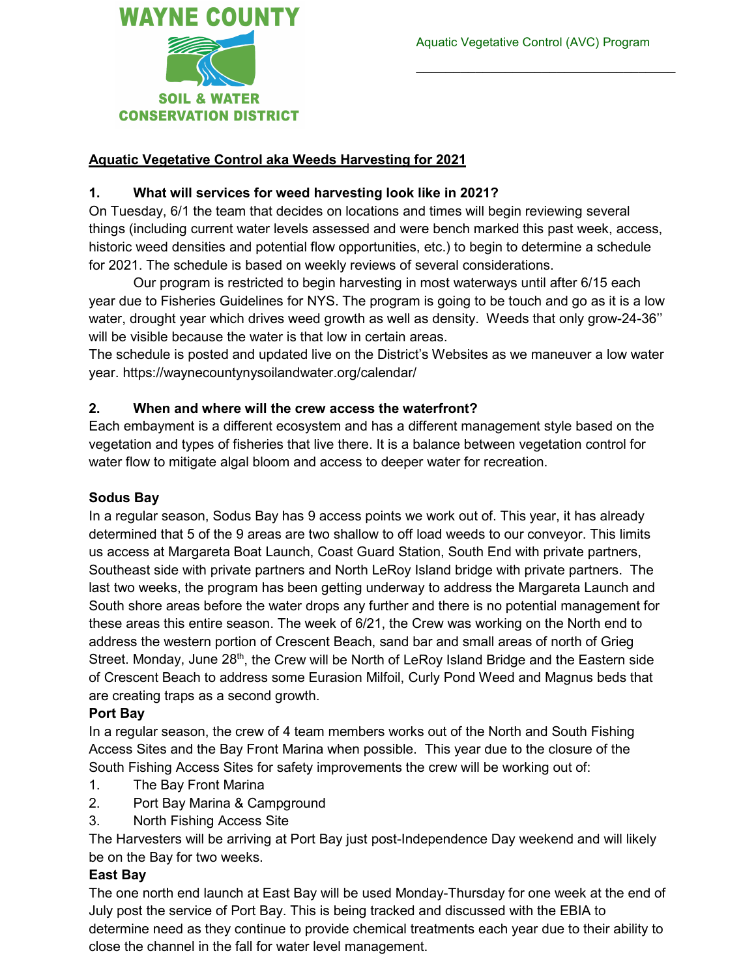

## **Aquatic Vegetative Control aka Weeds Harvesting for 2021**

### **1. What will services for weed harvesting look like in 2021?**

On Tuesday, 6/1 the team that decides on locations and times will begin reviewing several things (including current water levels assessed and were bench marked this past week, access, historic weed densities and potential flow opportunities, etc.) to begin to determine a schedule for 2021. The schedule is based on weekly reviews of several considerations.

Our program is restricted to begin harvesting in most waterways until after 6/15 each year due to Fisheries Guidelines for NYS. The program is going to be touch and go as it is a low water, drought year which drives weed growth as well as density. Weeds that only grow-24-36'' will be visible because the water is that low in certain areas.

The schedule is posted and updated live on the District's Websites as we maneuver a low water year. https://waynecountynysoilandwater.org/calendar/

### **2. When and where will the crew access the waterfront?**

Each embayment is a different ecosystem and has a different management style based on the vegetation and types of fisheries that live there. It is a balance between vegetation control for water flow to mitigate algal bloom and access to deeper water for recreation.

#### **Sodus Bay**

In a regular season, Sodus Bay has 9 access points we work out of. This year, it has already determined that 5 of the 9 areas are two shallow to off load weeds to our conveyor. This limits us access at Margareta Boat Launch, Coast Guard Station, South End with private partners, Southeast side with private partners and North LeRoy Island bridge with private partners. The last two weeks, the program has been getting underway to address the Margareta Launch and South shore areas before the water drops any further and there is no potential management for these areas this entire season. The week of 6/21, the Crew was working on the North end to address the western portion of Crescent Beach, sand bar and small areas of north of Grieg Street. Monday, June 28<sup>th</sup>, the Crew will be North of LeRoy Island Bridge and the Eastern side of Crescent Beach to address some Eurasion Milfoil, Curly Pond Weed and Magnus beds that are creating traps as a second growth.

#### **Port Bay**

In a regular season, the crew of 4 team members works out of the North and South Fishing Access Sites and the Bay Front Marina when possible. This year due to the closure of the South Fishing Access Sites for safety improvements the crew will be working out of:

- 1. The Bay Front Marina
- 2. Port Bay Marina & Campground
- 3. North Fishing Access Site

The Harvesters will be arriving at Port Bay just post-Independence Day weekend and will likely be on the Bay for two weeks.

### **East Bay**

The one north end launch at East Bay will be used Monday-Thursday for one week at the end of July post the service of Port Bay. This is being tracked and discussed with the EBIA to determine need as they continue to provide chemical treatments each year due to their ability to close the channel in the fall for water level management.